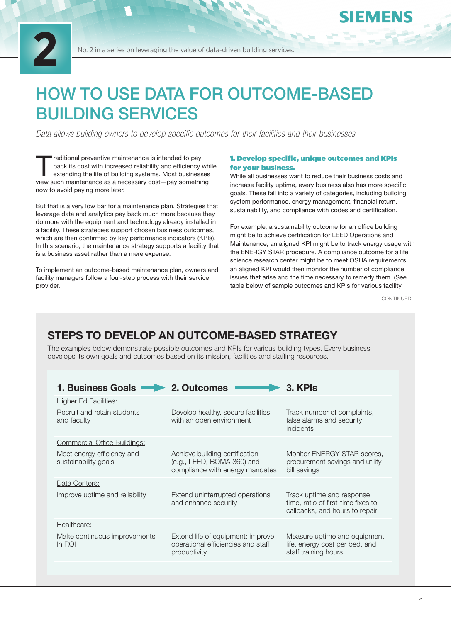

No. 2 in a series on leveraging the value of data-driven building services.

# HOW TO USE DATA FOR OUTCOME-BASED BUILDING SERVICES

*Data allows building owners to develop specific outcomes for their facilities and their businesses*

raditional preventive maintenance is intended to pay back its cost with increased reliability and efficiency which extending the life of building systems. Most businesses back its cost with increased reliability and efficiency while view such maintenance as a necessary cost—pay something now to avoid paying more later.

But that is a very low bar for a maintenance plan. Strategies that leverage data and analytics pay back much more because they do more with the equipment and technology already installed in a facility. These strategies support chosen business outcomes, which are then confirmed by key performance indicators (KPIs). In this scenario, the maintenance strategy supports a facility that is a business asset rather than a mere expense.

To implement an outcome-based maintenance plan, owners and facility managers follow a four-step process with their service provider.

#### 1. Develop specific, unique outcomes and KPIs for your business.

While all businesses want to reduce their business costs and increase facility uptime, every business also has more specific goals. These fall into a variety of categories, including building system performance, energy management, financial return, sustainability, and compliance with codes and certification.

For example, a sustainability outcome for an office building might be to achieve certification for LEED Operations and Maintenance; an aligned KPI might be to track energy usage with the ENERGY STAR procedure. A compliance outcome for a life science research center might be to meet OSHA requirements; an aligned KPI would then monitor the number of compliance issues that arise and the time necessary to remedy them. (See table below of sample outcomes and KPIs for various facility

CONTINUED

**IEMENS** 

# STEPS TO DEVELOP AN OUTCOME-BASED STRATEGY

The examples below demonstrate possible outcomes and KPIs for various building types. Every business develops its own goals and outcomes based on its mission, facilities and staffing resources.

| <b>1. Business Goals</b>                           | 2. Outcomes                                                                                     | 3. KPIs                                                                                           |
|----------------------------------------------------|-------------------------------------------------------------------------------------------------|---------------------------------------------------------------------------------------------------|
| <b>Higher Ed Facilities:</b>                       |                                                                                                 |                                                                                                   |
| Recruit and retain students<br>and faculty         | Develop healthy, secure facilities<br>with an open environment                                  | Track number of complaints,<br>false alarms and security<br><i>incidents</i>                      |
| <b>Commercial Office Buildings:</b>                |                                                                                                 |                                                                                                   |
| Meet energy efficiency and<br>sustainability goals | Achieve building certification<br>(e.g., LEED, BOMA 360) and<br>compliance with energy mandates | Monitor ENERGY STAR scores,<br>procurement savings and utility<br>bill savings                    |
| Data Centers:                                      |                                                                                                 |                                                                                                   |
| Improve uptime and reliability                     | Extend uninterrupted operations<br>and enhance security                                         | Track uptime and response<br>time, ratio of first-time fixes to<br>callbacks, and hours to repair |
| Healthcare:                                        |                                                                                                 |                                                                                                   |
| Make continuous improvements<br>In ROI             | Extend life of equipment; improve<br>operational efficiencies and staff<br>productivity         | Measure uptime and equipment<br>life, energy cost per bed, and<br>staff training hours            |
|                                                    |                                                                                                 |                                                                                                   |